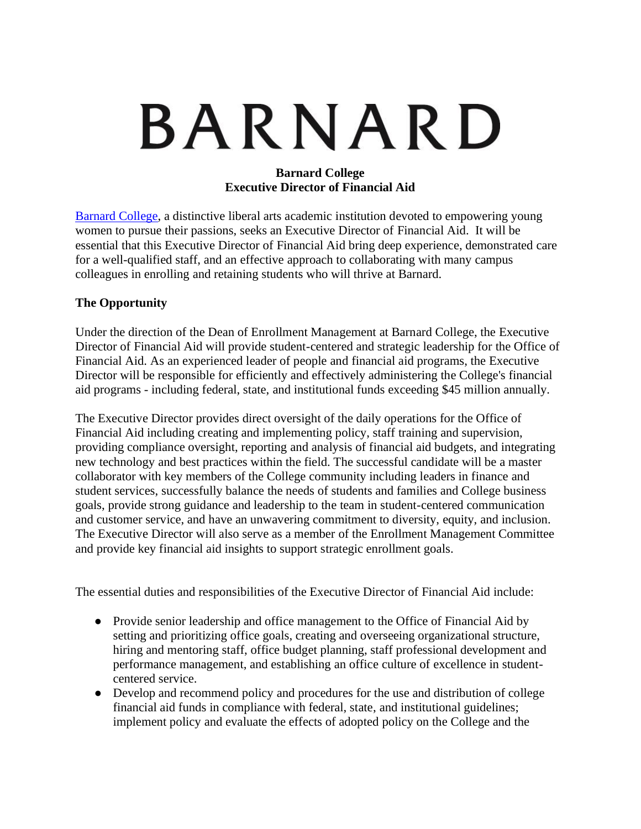# BARNARD

### **Barnard College Executive Director of Financial Aid**

[Barnard College,](https://barnard.edu/) a distinctive liberal arts academic institution devoted to empowering young women to pursue their passions, seeks an Executive Director of Financial Aid. It will be essential that this Executive Director of Financial Aid bring deep experience, demonstrated care for a well-qualified staff, and an effective approach to collaborating with many campus colleagues in enrolling and retaining students who will thrive at Barnard.

## **The Opportunity**

Under the direction of the Dean of Enrollment Management at Barnard College, the Executive Director of Financial Aid will provide student-centered and strategic leadership for the Office of Financial Aid. As an experienced leader of people and financial aid programs, the Executive Director will be responsible for efficiently and effectively administering the College's financial aid programs - including federal, state, and institutional funds exceeding \$45 million annually.

The Executive Director provides direct oversight of the daily operations for the Office of Financial Aid including creating and implementing policy, staff training and supervision, providing compliance oversight, reporting and analysis of financial aid budgets, and integrating new technology and best practices within the field. The successful candidate will be a master collaborator with key members of the College community including leaders in finance and student services, successfully balance the needs of students and families and College business goals, provide strong guidance and leadership to the team in student-centered communication and customer service, and have an unwavering commitment to diversity, equity, and inclusion. The Executive Director will also serve as a member of the Enrollment Management Committee and provide key financial aid insights to support strategic enrollment goals.

The essential duties and responsibilities of the Executive Director of Financial Aid include:

- Provide senior leadership and office management to the Office of Financial Aid by setting and prioritizing office goals, creating and overseeing organizational structure, hiring and mentoring staff, office budget planning, staff professional development and performance management, and establishing an office culture of excellence in studentcentered service.
- Develop and recommend policy and procedures for the use and distribution of college financial aid funds in compliance with federal, state, and institutional guidelines; implement policy and evaluate the effects of adopted policy on the College and the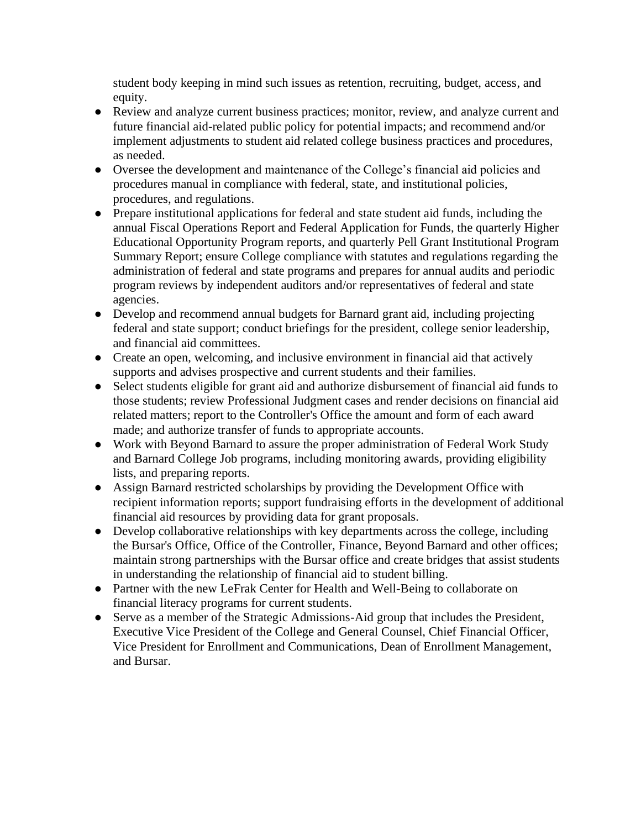student body keeping in mind such issues as retention, recruiting, budget, access, and equity.

- Review and analyze current business practices; monitor, review, and analyze current and future financial aid-related public policy for potential impacts; and recommend and/or implement adjustments to student aid related college business practices and procedures, as needed.
- Oversee the development and maintenance of the College's financial aid policies and procedures manual in compliance with federal, state, and institutional policies, procedures, and regulations.
- Prepare institutional applications for federal and state student aid funds, including the annual Fiscal Operations Report and Federal Application for Funds, the quarterly Higher Educational Opportunity Program reports, and quarterly Pell Grant Institutional Program Summary Report; ensure College compliance with statutes and regulations regarding the administration of federal and state programs and prepares for annual audits and periodic program reviews by independent auditors and/or representatives of federal and state agencies.
- Develop and recommend annual budgets for Barnard grant aid, including projecting federal and state support; conduct briefings for the president, college senior leadership, and financial aid committees.
- Create an open, welcoming, and inclusive environment in financial aid that actively supports and advises prospective and current students and their families.
- Select students eligible for grant aid and authorize disbursement of financial aid funds to those students; review Professional Judgment cases and render decisions on financial aid related matters; report to the Controller's Office the amount and form of each award made; and authorize transfer of funds to appropriate accounts.
- Work with Beyond Barnard to assure the proper administration of Federal Work Study and Barnard College Job programs, including monitoring awards, providing eligibility lists, and preparing reports.
- Assign Barnard restricted scholarships by providing the Development Office with recipient information reports; support fundraising efforts in the development of additional financial aid resources by providing data for grant proposals.
- Develop collaborative relationships with key departments across the college, including the Bursar's Office, Office of the Controller, Finance, Beyond Barnard and other offices; maintain strong partnerships with the Bursar office and create bridges that assist students in understanding the relationship of financial aid to student billing.
- Partner with the new LeFrak Center for Health and Well-Being to collaborate on financial literacy programs for current students.
- Serve as a member of the Strategic Admissions-Aid group that includes the President, Executive Vice President of the College and General Counsel, Chief Financial Officer, Vice President for Enrollment and Communications, Dean of Enrollment Management, and Bursar.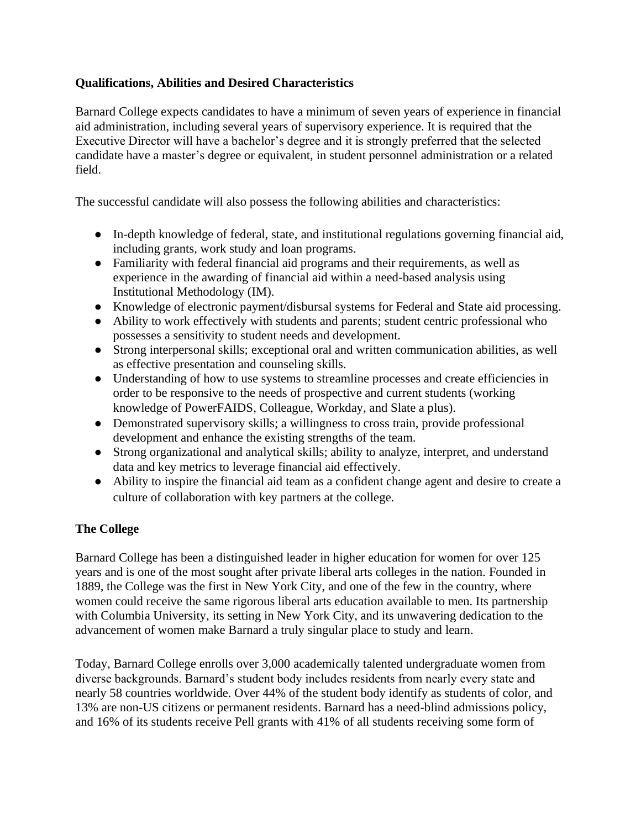## **Qualifications, Abilities and Desired Characteristics**

Barnard College expects candidates to have a minimum of seven years of experience in financial aid administration, including several years of supervisory experience. It is required that the Executive Director will have a bachelor's degree and it is strongly preferred that the selected candidate have a master's degree or equivalent, in student personnel administration or a related field.

The successful candidate will also possess the following abilities and characteristics:

- In-depth knowledge of federal, state, and institutional regulations governing financial aid, including grants, work study and loan programs.
- Familiarity with federal financial aid programs and their requirements, as well as experience in the awarding of financial aid within a need-based analysis using Institutional Methodology (IM).
- Knowledge of electronic payment/disbursal systems for Federal and State aid processing.
- Ability to work effectively with students and parents; student centric professional who possesses a sensitivity to student needs and development.
- Strong interpersonal skills; exceptional oral and written communication abilities, as well as effective presentation and counseling skills.
- Understanding of how to use systems to streamline processes and create efficiencies in order to be responsive to the needs of prospective and current students (working knowledge of PowerFAIDS, Colleague, Workday, and Slate a plus).
- Demonstrated supervisory skills; a willingness to cross train, provide professional development and enhance the existing strengths of the team.
- Strong organizational and analytical skills; ability to analyze, interpret, and understand data and key metrics to leverage financial aid effectively.
- Ability to inspire the financial aid team as a confident change agent and desire to create a culture of collaboration with key partners at the college.

# **The College**

Barnard College has been a distinguished leader in higher education for women for over 125 years and is one of the most sought after private liberal arts colleges in the nation. Founded in 1889, the College was the first in New York City, and one of the few in the country, where women could receive the same rigorous liberal arts education available to men. Its partnership with Columbia University, its setting in New York City, and its unwavering dedication to the advancement of women make Barnard a truly singular place to study and learn.

Today, Barnard College enrolls over 3,000 academically talented undergraduate women from diverse backgrounds. Barnard's student body includes residents from nearly every state and nearly 58 countries worldwide. Over 44% of the student body identify as students of color, and 13% are non-US citizens or permanent residents. Barnard has a need-blind admissions policy, and 16% of its students receive Pell grants with 41% of all students receiving some form of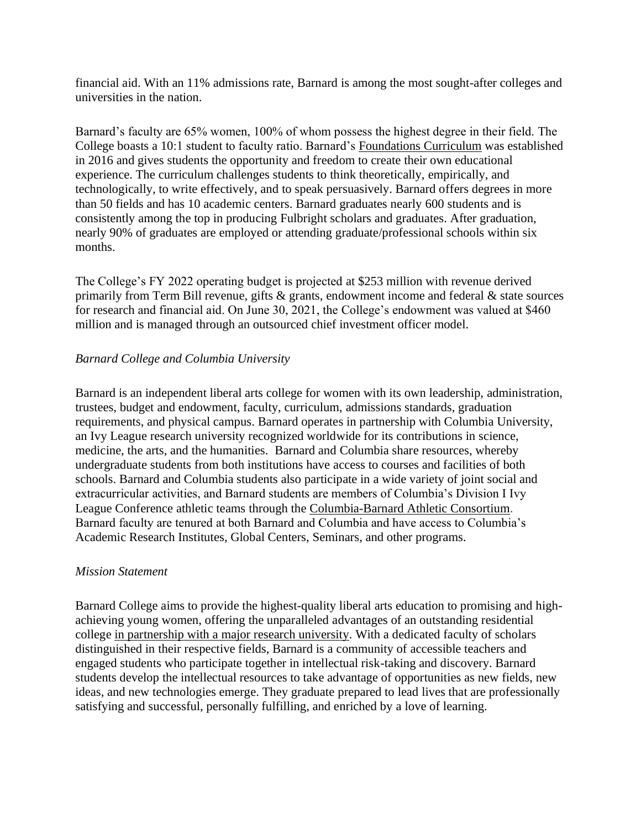financial aid. With an 11% admissions rate, Barnard is among the most sought-after colleges and universities in the nation.

Barnard's faculty are 65% women, 100% of whom possess the highest degree in their field. The College boasts a 10:1 student to faculty ratio. Barnard's [Foundations Curriculum](https://barnard.edu/curriculum) was established in 2016 and gives students the opportunity and freedom to create their own educational experience. The curriculum challenges students to think theoretically, empirically, and technologically, to write effectively, and to speak persuasively. Barnard offers degrees in more than 50 fields and has 10 academic centers. Barnard graduates nearly 600 students and is consistently among the top in producing Fulbright scholars and graduates. After graduation, nearly 90% of graduates are employed or attending graduate/professional schools within six months.

The College's FY 2022 operating budget is projected at \$253 million with revenue derived primarily from Term Bill revenue, gifts  $\&$  grants, endowment income and federal  $\&$  state sources for research and financial aid. On June 30, 2021, the College's endowment was valued at \$460 million and is managed through an outsourced chief investment officer model.

### *Barnard College and Columbia University*

Barnard is an independent liberal arts college for women with its own leadership, administration, trustees, budget and endowment, faculty, curriculum, admissions standards, graduation requirements, and physical campus. Barnard operates in partnership with Columbia University, an Ivy League research university recognized worldwide for its contributions in science, medicine, the arts, and the humanities. Barnard and Columbia share resources, whereby undergraduate students from both institutions have access to courses and facilities of both schools. Barnard and Columbia students also participate in a wide variety of joint social and extracurricular activities, and Barnard students are members of Columbia's Division I Ivy League Conference athletic teams through the [Columbia-Barnard Athletic Consortium](https://gocolumbialions.com/). Barnard faculty are tenured at both Barnard and Columbia and have access to Columbia's Academic Research Institutes, Global Centers, Seminars, and other programs.

#### *Mission Statement*

Barnard College aims to provide the highest-quality liberal arts education to promising and highachieving young women, offering the unparalleled advantages of an outstanding residential college [in partnership with a major research university.](https://barnard.edu/boldly-barnard/columbia-university) With a dedicated faculty of scholars distinguished in their respective fields, Barnard is a community of accessible teachers and engaged students who participate together in intellectual risk-taking and discovery. Barnard students develop the intellectual resources to take advantage of opportunities as new fields, new ideas, and new technologies emerge. They graduate prepared to lead lives that are professionally satisfying and successful, personally fulfilling, and enriched by a love of learning.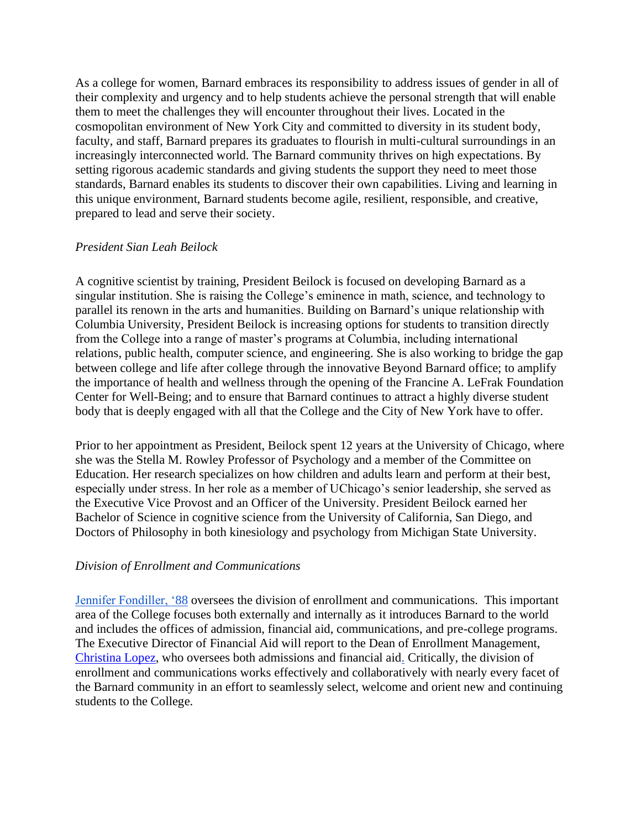As a college for women, Barnard embraces its responsibility to address issues of gender in all of their complexity and urgency and to help students achieve the personal strength that will enable them to meet the challenges they will encounter throughout their lives. Located in the cosmopolitan environment of New York City and committed to diversity in its student body, faculty, and staff, Barnard prepares its graduates to flourish in multi-cultural surroundings in an increasingly interconnected world. The Barnard community thrives on high expectations. By setting rigorous academic standards and giving students the support they need to meet those standards, Barnard enables its students to discover their own capabilities. Living and learning in this unique environment, Barnard students become agile, resilient, responsible, and creative, prepared to lead and serve their society.

#### *President Sian Leah Beilock*

A cognitive scientist by training, President Beilock is focused on developing Barnard as a singular institution. She is raising the College's eminence in math, science, and technology to parallel its renown in the arts and humanities. Building on Barnard's unique relationship with Columbia University, President Beilock is increasing options for students to transition directly from the College into a range of master's programs at Columbia, including international relations, public health, computer science, and engineering. She is also working to bridge the gap between college and life after college through the innovative Beyond Barnard office; to amplify the importance of health and wellness through the opening of the Francine A. LeFrak Foundation Center for Well-Being; and to ensure that Barnard continues to attract a highly diverse student body that is deeply engaged with all that the College and the City of New York have to offer.

Prior to her appointment as President, Beilock spent 12 years at the University of Chicago, where she was the Stella M. Rowley Professor of Psychology and a member of the Committee on Education. Her research specializes on how children and adults learn and perform at their best, especially under stress. In her role as a member of UChicago's senior leadership, she served as the Executive Vice Provost and an Officer of the University. President Beilock earned her Bachelor of Science in cognitive science from the University of California, San Diego, and Doctors of Philosophy in both kinesiology and psychology from Michigan State University.

#### *Division of Enrollment and Communications*

[Jennifer Fondiller, '88](https://barnard.edu/jennifer-fondiller) oversees the division of enrollment and communications. This important area of the College focuses both externally and internally as it introduces Barnard to the world and includes the offices of admission, financial aid, communications, and pre-college programs. The Executive Director of Financial Aid will report to the Dean of Enrollment Management, [Christina Lopez,](https://barnard.edu/christina-lopez) who oversees both admissions and financial aid. Critically, the division of enrollment and communications works effectively and collaboratively with nearly every facet of the Barnard community in an effort to seamlessly select, welcome and orient new and continuing students to the College.